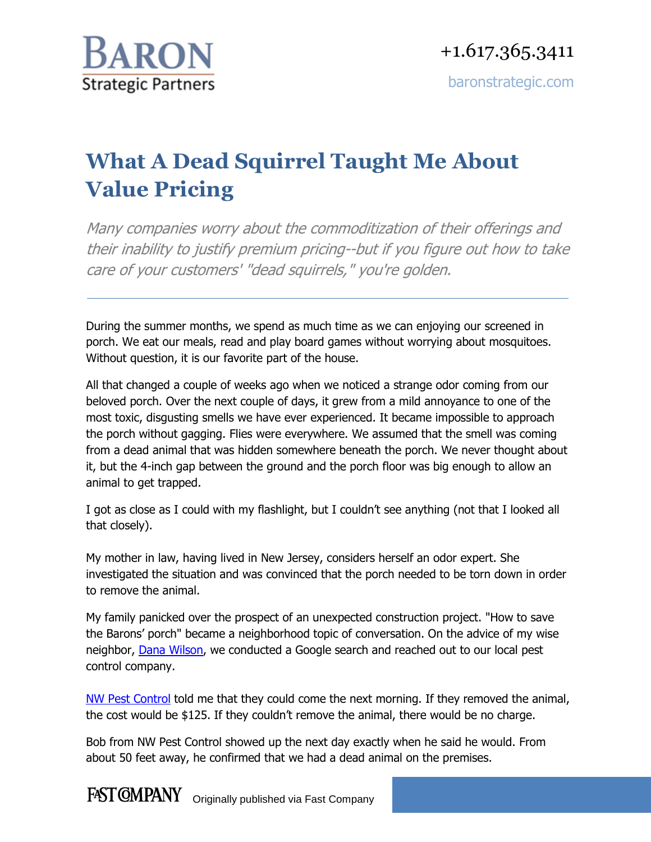

## **What A Dead Squirrel Taught Me About Value Pricing**

Many companies worry about the commoditization of their offerings and their inability to justify premium pricing--but if you figure out how to take care of your customers' "dead squirrels," you're golden.

During the summer months, we spend as much time as we can enjoying our screened in porch. We eat our meals, read and play board games without worrying about mosquitoes. Without question, it is our favorite part of the house.

All that changed a couple of weeks ago when we noticed a strange odor coming from our beloved porch. Over the next couple of days, it grew from a mild annoyance to one of the most toxic, disgusting smells we have ever experienced. It became impossible to approach the porch without gagging. Flies were everywhere. We assumed that the smell was coming from a dead animal that was hidden somewhere beneath the porch. We never thought about it, but the 4-inch gap between the ground and the porch floor was big enough to allow an animal to get trapped.

I got as close as I could with my flashlight, but I couldn't see anything (not that I looked all that closely).

My mother in law, having lived in New Jersey, considers herself an odor expert. She investigated the situation and was convinced that the porch needed to be torn down in order to remove the animal.

My family panicked over the prospect of an unexpected construction project. "How to save the Barons' porch" became a neighborhood topic of conversation. On the advice of my wise neighbor, [Dana Wilson,](http://www.fastcompany.com/person/dana-wilson) we conducted a Google search and reached out to our local pest control company.

[NW Pest Control](http://www.nwpestcontrol.com/) told me that they could come the next morning. If they removed the animal, the cost would be \$125. If they couldn't remove the animal, there would be no charge.

Bob from NW Pest Control showed up the next day exactly when he said he would. From about 50 feet away, he confirmed that we had a dead animal on the premises.

FAST CMPANY Originally published via Fast Company